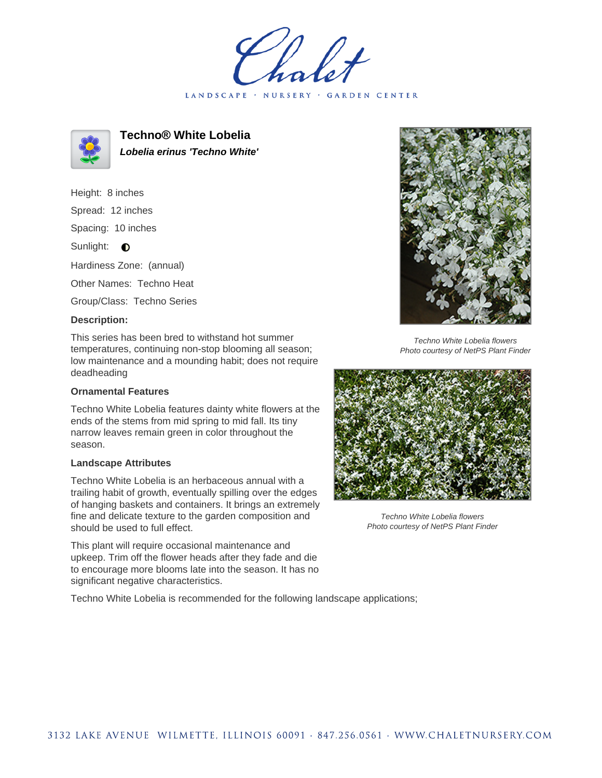LANDSCAPE · NURSERY · GARDEN CENTER



**Techno® White Lobelia Lobelia erinus 'Techno White'**

Height: 8 inches

Spread: 12 inches

Spacing: 10 inches

Sunlight:  $\bullet$ 

Hardiness Zone: (annual)

Other Names: Techno Heat

Group/Class: Techno Series

## **Description:**

This series has been bred to withstand hot summer temperatures, continuing non-stop blooming all season; low maintenance and a mounding habit; does not require deadheading

## **Ornamental Features**

Techno White Lobelia features dainty white flowers at the ends of the stems from mid spring to mid fall. Its tiny narrow leaves remain green in color throughout the season.

## **Landscape Attributes**

Techno White Lobelia is an herbaceous annual with a trailing habit of growth, eventually spilling over the edges of hanging baskets and containers. It brings an extremely fine and delicate texture to the garden composition and should be used to full effect.

This plant will require occasional maintenance and upkeep. Trim off the flower heads after they fade and die to encourage more blooms late into the season. It has no significant negative characteristics.

Techno White Lobelia is recommended for the following landscape applications;



Techno White Lobelia flowers Photo courtesy of NetPS Plant Finder



Techno White Lobelia flowers Photo courtesy of NetPS Plant Finder